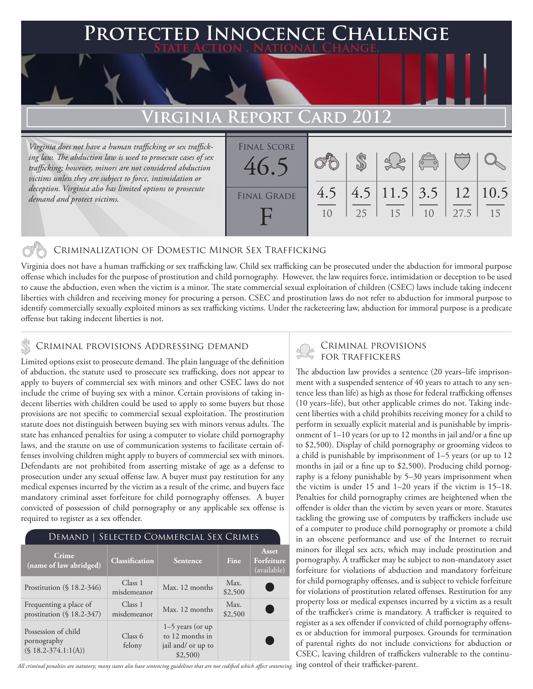## **FD INNOCENCE CHALLENGE State Action . National Change.**

## **Virginia Report Card 2012**

*Virginia does not have a human trafficking or sex trafficking law. The abduction law is used to prosecute cases of sex trafficking; however, minors are not considered abduction victims unless they are subject to force, intimidation or deception. Virginia also has limited options to prosecute demand and protect victims.*

| <b>FINAL SCORE</b><br>46.5 |     |    |                                      | $\sqrt{2}$ |      |    |
|----------------------------|-----|----|--------------------------------------|------------|------|----|
| <b>FINAL GRADE</b>         | 4.5 | 25 | $4.5$   11.5   3.5   12   10.5<br>15 |            | 27.5 | 15 |

### Criminalization of Domestic Minor Sex Trafficking

Virginia does not have a human trafficking or sex trafficking law. Child sex trafficking can be prosecuted under the abduction for immoral purpose offense which includes for the purpose of prostitution and child pornography. However, the law requires force, intimidation or deception to be used to cause the abduction, even when the victim is a minor. The state commercial sexual exploitation of children (CSEC) laws include taking indecent liberties with children and receiving money for procuring a person. CSEC and prostitution laws do not refer to abduction for immoral purpose to identify commercially sexually exploited minors as sex trafficking victims. Under the racketeering law, abduction for immoral purpose is a predicate offense but taking indecent liberties is not.

### Criminal provisions Addressing demand

Limited options exist to prosecute demand. The plain language of the definition of abduction, the statute used to prosecute sex trafficking, does not appear to apply to buyers of commercial sex with minors and other CSEC laws do not include the crime of buying sex with a minor. Certain provisions of taking indecent liberties with children could be used to apply to some buyers but those provisions are not specific to commercial sexual exploitation. The prostitution statute does not distinguish between buying sex with minors versus adults. The state has enhanced penalties for using a computer to violate child pornography laws, and the statute on use of communication systems to facilitate certain offenses involving children might apply to buyers of commercial sex with minors. Defendants are not prohibited from asserting mistake of age as a defense to prosecution under any sexual offense law. A buyer must pay restitution for any medical expenses incurred by the victim as a result of the crime, and buyers face mandatory criminal asset forfeiture for child pornography offenses. A buyer convicted of possession of child pornography or any applicable sex offense is required to register as a sex offender.

| DEMAND   SELECTED COMMERCIAL SEX CRIMES                       |                        |                                                                        |                 |                                           |  |  |  |  |
|---------------------------------------------------------------|------------------------|------------------------------------------------------------------------|-----------------|-------------------------------------------|--|--|--|--|
| Crime<br>(name of law abridged)                               | <b>Classification</b>  | Sentence                                                               | <b>Fine</b>     | <b>Asset</b><br>Forfeiture<br>(available) |  |  |  |  |
| Prostitution $(\S 18.2-346)$                                  | Class 1<br>misdemeanor | Max. 12 months                                                         | Max.<br>\$2,500 |                                           |  |  |  |  |
| Frequenting a place of<br>prostitution $(\S 18.2-347)$        | Class 1<br>misdemeanor | Max. 12 months                                                         | Max.<br>\$2,500 |                                           |  |  |  |  |
| Possession of child<br>pornography<br>$(S 18.2 - 374.1:1(A))$ | Class 6<br>felony      | $1-5$ years (or up<br>to 12 months in<br>jail and/ or up to<br>\$2,500 |                 |                                           |  |  |  |  |

All criminal penalties are statutory; many states also have sentencing guidelines that are not codified which affect sentencing. <code>ing</code> <code>control</code> of their trafficker-parent.

# Criminal provisions

The abduction law provides a sentence (20 years–life imprisonment with a suspended sentence of 40 years to attach to any sentence less than life) as high as those for federal trafficking offenses (10 years–life), but other applicable crimes do not. Taking indecent liberties with a child prohibits receiving money for a child to perform in sexually explicit material and is punishable by imprisonment of 1–10 years (or up to 12 months in jail and/or a fine up to \$2,500). Display of child pornography or grooming videos to a child is punishable by imprisonment of 1–5 years (or up to 12 months in jail or a fine up to \$2,500). Producing child pornography is a felony punishable by 5–30 years imprisonment when the victim is under 15 and 1–20 years if the victim is 15–18. Penalties for child pornography crimes are heightened when the offender is older than the victim by seven years or more. Statutes tackling the growing use of computers by traffickers include use of a computer to produce child pornography or promote a child in an obscene performance and use of the Internet to recruit minors for illegal sex acts, which may include prostitution and pornography. A trafficker may be subject to non-mandatory asset forfeiture for violations of abduction and mandatory forfeiture for child pornography offenses, and is subject to vehicle forfeiture for violations of prostitution related offenses. Restitution for any property loss or medical expenses incurred by a victim as a result of the trafficker's crime is mandatory. A trafficker is required to register as a sex offender if convicted of child pornography offenses or abduction for immoral purposes. Grounds for termination of parental rights do not include convictions for abduction or CSEC, leaving children of traffickers vulnerable to the continu-